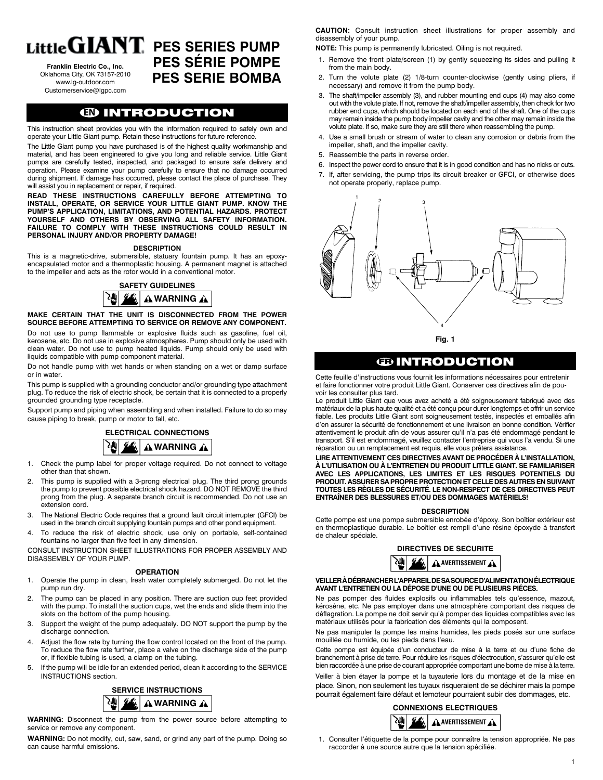**Franklin Electric Co., Inc.** Oklahoma City, OK 73157-2010 www.lg-outdoor.com Customerservice@lgpc.com

# Little  $\mathbf{GIANT}$  pes series pump **PES sÉrie POMPE PES serie BOMBA**

# **EN** INTRODUCTION

This instruction sheet provides you with the information required to safely own and operate your Little Giant pump. Retain these instructions for future reference.

The Little Giant pump you have purchased is of the highest quality workmanship and material, and has been engineered to give you long and reliable service. Little Giant pumps are carefully tested, inspected, and packaged to ensure safe delivery and operation. Please examine your pump carefully to ensure that no damage occurred during shipment. If damage has occurred, please contact the place of purchase. They will assist you in replacement or repair, if required.

**READ THESE INSTRUCTIONS CAREFULLY BEFORE ATTEMPTING TO INSTALL, OPERATE, OR SERVICE YOUR LITTLE GIANT PUMP. KNOW THE PUMP'S APPLICATION, LIMITATIONS, AND POTENTIAL HAZARDS. PROTECT YOURSELF AND OTHERS BY OBSERVING ALL SAFETY INFORMATION. FAILURE TO COMPLY WITH THESE INSTRUCTIONS COULD RESULT IN PERSONAL INJURY AND/OR PROPERTY DAMAGE!**

#### **DESCRIPTION**

This is a magnetic-drive, submersible, statuary fountain pump. It has an epoxyencapsulated motor and a thermoplastic housing. A permanent magnet is attached to the impeller and acts as the rotor would in a conventional motor.

#### **SAFETY GUIDELINES** 堬 **A** WARNING A

#### **MAKE CERTAIN THAT THE UNIT IS DISCONNECTED FROM THE POWER SOURCE BEFORE ATTEMPTING TO SERVICE OR REMOVE ANY COMPONENT.**

Do not use to pump flammable or explosive fluids such as gasoline, fuel oil, kerosene, etc. Do not use in explosive atmospheres. Pump should only be used with clean water. Do not use to pump heated liquids. Pump should only be used with liquids compatible with pump component material.

Do not handle pump with wet hands or when standing on a wet or damp surface or in water.

This pump is supplied with a grounding conductor and/or grounding type attachment plug. To reduce the risk of electric shock, be certain that it is connected to a properly grounded grounding type receptacle.

Support pump and piping when assembling and when installed. Failure to do so may cause piping to break, pump or motor to fall, etc.



- 1. Check the pump label for proper voltage required. Do not connect to voltage other than that shown.
- This pump is supplied with a 3-prong electrical plug. The third prong grounds the pump to prevent possible electrical shock hazard. DO NOT REMOVE the third prong from the plug. A separate branch circuit is recommended. Do not use an extension cord.
- 3. The National Electric Code requires that a ground fault circuit interrupter (GFCI) be used in the branch circuit supplying fountain pumps and other pond equipment.
- 4. To reduce the risk of electric shock, use only on portable, self-contained fountains no larger than five feet in any dimension.

CONSULT INSTRUCTION SHEET ILLUSTRATIONS FOR PROPER ASSEMBLY AND DISASSEMBLY OF YOUR PUMP.

#### **OPERATION**

- 1. Operate the pump in clean, fresh water completely submerged. Do not let the pump run dry.
- The pump can be placed in any position. There are suction cup feet provided with the pump. To install the suction cups, wet the ends and slide them into the slots on the bottom of the pump housing.
- 3. Support the weight of the pump adequately. DO NOT support the pump by the discharge connection.
- 4. Adjust the flow rate by turning the flow control located on the front of the pump. To reduce the flow rate further, place a valve on the discharge side of the pump or, if flexible tubing is used, a clamp on the tubing.
- 5. If the pump will be idle for an extended period, clean it according to the SERVICE INSTRUCTIONS section.



**WARNING:** Disconnect the pump from the power source before attempting to service or remove any component.

**WARNING:** Do not modify, cut, saw, sand, or grind any part of the pump. Doing so can cause harmful emissions.

**CAUTION:** Consult instruction sheet illustrations for proper assembly and disassembly of your pump.

**NOTE:** This pump is permanently lubricated. Oiling is not required.

- 1. Remove the front plate/screen (1) by gently squeezing its sides and pulling it from the main body.
- 2. Turn the volute plate (2) 1/8-turn counter-clockwise (gently using pliers, if necessary) and remove it from the pump body.
- 3. The shaft/impeller assembly (3), and rubber mounting end cups (4) may also come out with the volute plate. If not, remove the shaft/impeller assembly, then check for two rubber end cups, which should be located on each end of the shaft. One of the cups may remain inside the pump body impeller cavity and the other may remain inside the volute plate. If so, make sure they are still there when reassembling the pump.
- 4. Use a small brush or stream of water to clean any corrosion or debris from the impeller, shaft, and the impeller cavity.
- 5. Reassemble the parts in reverse order.
- 6. Inspect the power cord to ensure that it is in good condition and has no nicks or cuts.
- 7. If, after servicing, the pump trips its circuit breaker or GFCI, or otherwise does not operate properly, replace pump.



**Fig. 1**

# **<b>EDINTRODUCTION**

Cette feuille d'instructions vous fournit les informations nécessaires pour entretenir et faire fonctionner votre produit Little Giant. Conserver ces directives afin de pouvoir les consulter plus tard.

fiable. Les produits Little Giant sont soigneusement testés, inspectés et emballés afin Le produit Little Giant que vous avez acheté a été soigneusement fabriqué avec des matériaux de la plus haute qualité et a été conçu pour durer longtemps et offrir un service d'en assurer la sécurité de fonctionnement et une livraison en bonne condition. Vérifier attentivement le produit afin de vous assurer qu'il n'a pas été endommagé pendant le transport. S'il est endommagé, veuillez contacter l'entreprise qui vous l'a vendu. Si une réparation ou un remplacement est requis, elle vous prêtera assistance.

#### **LIRE ATTENTIVEMENT CES DIRECTIVES AVANT DE PROCÉDER À L'INSTALLATION, À L'UTILISATION OU À L'ENTRETIEN DU PRODUIT LITTLE GIANT. SE FAMILIARISER AVEC LES APPLICATIONS, LES LIMITES ET LES RISQUES POTENTIELS DU PRODUIT. ASSURER SA PROPRE PROTECTION ET CELLE DES AUTRES EN SUIVANT TOUTES LES RÈGLES DE SÉCURITÉ. LE NON-RESPECT DE CES DIRECTIVES PEUT ENTRAÎNER DES BLESSURES ET/OU DES DOMMAGES MATÉRIELS!**

#### **DESCRIPTION**

Cette pompe est une pompe submersible enrobée d'époxy. Son boîtier extérieur est Cette portipe est une portipe submersible enrobée à époxy. Son boitier exterieur est<br>en thermoplastique durable. Le boîtier est rempli d'une résine époxyde à transfert de chaleur spéciale.

# **DIRECTIVES DE SECURITE**



#### **VEILLER À DÉBRANCHER L'APPAREIL DE SA SOURCE D'ALIMENTATION ÉLECTRIQUE AVANT L'ENTRETIEN OU LA DÉPOSE D'UNE OU DE PLUSIEURS PIÉCES.**

Ne pas pomper des fluides explosifs ou inflammables tels qu'essence, mazout, kérosène, etc. Ne pas employer dans une atmosphère comportant des risques de déflagration. La pompe ne doit servir qu'à pomper des liquides compatibles avec les matériaux utilisés pour la fabrication des éléments qui la composent.

Ne pas manipuler la pompe les mains humides, les pieds posés sur une surface mouillée ou humide, ou les pieds dans l'eau.

Cette pompe est équipée d'un conducteur de mise à la terre et ou d'une fiche de branchement à prise de terre. Pour réduire les risques d'électrocution, s'assurer qu'elle est bien raccordée à une prise de courant appropriée comportant une borne de mise à la terre.

Veiller à bien étayer la pompe et la tuyauterie lors du montage et de la mise en place. Sinon, non seulement les tuyaux risqueraient de se déchirer mais la pompe pourrait également faire défaut et lemoteur pourraient subir des dommages, etc.

# **CONNEXIONS ELECTRIQUES AVERTISSEMENT**

1. Consulter l'étiquette de la pompe pour connaître la tension appropriée. Ne pas raccorder à une source autre que la tension spécifiée.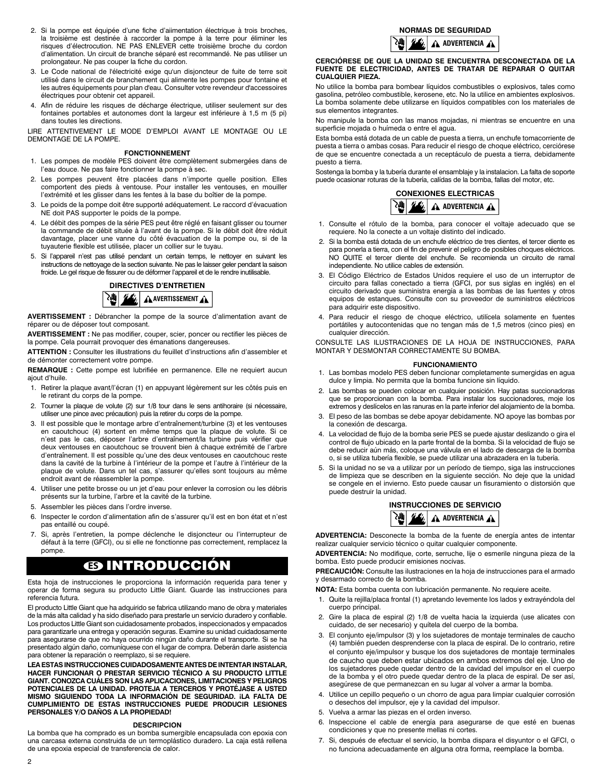- 2. Si la pompe est équipée d'une fiche d'aiimentation électrique à trois broches, la troisième est destinée à raccorder la pompe à la terre pour éliminer les risques d'électrocution. NE PAS ENLEVER cette troisième broche du cordon d'alimentation. Un circuit de branche séparé est recommandé. Ne pas utiliser un prolongateur. Ne pas couper la fiche du cordon.
- 3. Le Code national de l'électricité exige qu'un disjoncteur de fuite de terre soit utilisé dans le circuit de branchement qui alimente les pompes pour fontaine et les autres équipements pour plan d'eau. Consulter votre revendeur d'accessoires électriques pour obtenir cet appareil.
- 4. Afin de réduire les risques de décharge électrique, utiliser seulement sur des fontaines portables et autonomes dont la largeur est inférieure à 1,5 m (5 pi) dans toutes les directions.

LIRE ATTENTIVEMENT LE MODE D'EMPLOI AVANT LE MONTAGE OU LE DEMONTAGE DE LA POMPE.

#### **FONCTIONNEMENT**

- 1. Les pompes de modèle PES doivent être complètement submergées dans de l'eau douce. Ne pas faire fonctionner la pompe à sec.
- 2. Les pompes peuvent être placées dans n'importe quelle position. Elles comportent des pieds à ventouse. Pour installer les ventouses, en mouiller l'extrémité et les glisser dans les fentes à la base du boîtier de la pompe.
- 3. Le poids de la pompe doit être supporté adéquatement. Le raccord d'évacuation NE doit PAS supporter le poids de la pompe.
- Le débit des pompes de la série PES peut être réglé en faisant glisser ou tourner la commande de débit située à l'avant de la pompe. Si le débit doit être réduit davantage, placer une vanne du côté évacuation de la pompe ou, si de la tuyauterie flexible est utilisée, placer un collier sur le tuyau.
- 5. Si l'appareil n'est pas utilisé pendant un certain temps, le nettoyer en suivant les Si l'appareil n'est pas utilise pendant un certain temps, le nettoyer en suivant les<br>instructions de nettoyage de la section suivante. Ne pas le laisser geler pendant la saison froide. Le gel risque de fissurer ou de déformer l'appareil et de le rendre inutilisable.<br>محصور محصور محصور محمد المحصور



**AVERTISSEMENT :** Débrancher la pompe de la source d'alimentation avant de réparer ou de déposer tout composant.

**AVERTISSEMENT :** Ne pas modifier, couper, scier, poncer ou rectifier les pièces de la pompe. Cela pourrait provoquer des émanations dangereuses.

**ATTENTION :** Consulter les illustrations du feuillet d'instructions afin d'assembler et de démonter correctement votre pompe.

**REMARQUE :** Cette pompe est lubrifiée en permanence. Elle ne requiert aucun ajout d'huile.

- 1. Retirer la plaque avant/l'écran (1) en appuyant légèrement sur les côtés puis en le retirant du corps de la pompe.
- 2. Tourner la plaque de volute (2) sur 1/8 tour dans le sens antihoraire (si nécessaire, utiliser une pince avec précaution) puis la retirer du corps de la pompe.
- 3. Il est possible que le montage arbre d'entraînement/turbine (3) et les ventouses en caoutchouc (4) sortent en même temps que la plaque de volute. Si ce n'est pas le cas, déposer l'arbre d'entraînement/la turbine puis vérifier que deux ventouses en caoutchouc se trouvent bien à chaque extrémité de l'arbre d'entraînement. Il est possible qu'une des deux ventouses en caoutchouc reste dans la cavité de la turbine à l'intérieur de la pompe et l'autre à l'intérieur de la plaque de volute. Dans un tel cas, s'assurer qu'elles sont toujours au même endroit avant de réassembler la pompe.
- 4. Utiliser une petite brosse ou un jet d'eau pour enlever la corrosion ou les débris présents sur la turbine, l'arbre et la cavité de la turbine.
- 5. Assembler les pièces dans l'ordre inverse.
- 6. Inspecter le cordon d'alimentation afin de s'assurer qu'il est en bon état et n'est pas entaillé ou coupé.
- 7. Si, après l'entretien, la pompe déclenche le disjoncteur ou l'interrupteur de défaut à la terre (GFCI), ou si elle ne fonctionne pas correctement, remplacez la pompe.

# **ES** INTRODUCCIÓN

Esta hoja de instrucciones le proporciona la información requerida para tener y operar de forma segura su producto Little Giant. Guarde las instrucciones para referencia futura.

El producto Little Giant que ha adquirido se fabrica utilizando mano de obra y materiales de la más alta calidad y ha sido diseñado para prestarle un servicio duradero y confiable. Los productos Little Giant son cuidadosamente probados, inspeccionados y empacados para garantizarle una entrega y operación seguras. Examine su unidad cuidadosamente para asegurarse de que no haya ocurrido ningún daño durante el transporte. Si se ha presentado algún daño, comuníquese con el lugar de compra. Deberán darle asistencia para obtener la reparación o reemplazo, si se requiere.

**LEA ESTAS INSTRUCCIONES CUIDADOSAMENTE ANTES DE INTENTAR INSTALAR, HACER FUNCIONAR O PRESTAR SERVICIO TÉCNICO A SU PRODUCTO LITTLE GIANT. CONOZCA CUÁLES SON LAS APLICACIONES, LIMITACIONES Y PELIGROS POTENCIALES DE LA UNIDAD. PROTEJA A TERCEROS Y PROTÉJASE A USTED MISMO SIGUIENDO TODA LA INFORMACIÓN DE SEGURIDAD. ¡LA FALTA DE CUMPLIMIENTO DE ESTAS INSTRUCCIONES PUEDE PRODUCIR LESIONES PERSONALES Y/O DAÑOS A LA PROPIEDAD!**

#### **DESCRIPCION**

La bomba que ha comprado es un bomba sumergible encapsulada con epoxia con una carcasa externa construida de un termoplástico duradero. La caja está rellena de una epoxia especial de transferencia de calor.

#### **NORMAS DE SEGURIDAD**



#### **CERCIÓRESE DE QUE LA UNIDAD SE ENCUENTRA DESCONECTADA DE LA FUENTE DE ELECTRICIDAD, ANTES DE TRATAR DE REPARAR O QUITAR CUALQUIER PIEZA.**

No utilice la bomba para bombear líquidos combustibles o explosivos, tales como gasolina, petróleo combustible, kerosene, etc. No la utilice en ambientes explosivos. La bomba solamente debe utilizarse en líquidos compatibles con los materiales de sus elementos integrantes.

No manipule la bomba con las manos mojadas, ni mientras se encuentre en una superficie mojada o huímeda o entre el agua.

Esta bomba está dotada de un cable de puesta a tierra, un enchufe tomacorriente de puesta a tierra o ambas cosas. Para reducir el riesgo de choque eléctrico, cerciórese de que se encuentre conectada a un receptáculo de puesta a tierra, debidamente puesto a tierra.

Sostenga la bomba y la tubería durante el ensamblaje y la instalacion. La falta de soporte puede ocasionar roturas de la tubería, caIídas de la bomba, fallas del motor, etc.



- 1. Consulte el rótulo de la bomba, para conocer el voltaje adecuado que se requiere. No la conecte a un voltaje distinto del indicado.
- 2. Si la bomba está dotada de un enchufe eléctrico de tres dientes, el tercer diente es para ponerla a tierra, con el fin de prevenir el peligro de posibles choques eléctricos. NO QUITE el tercer diente del enchufe. Se recomienda un circuito de ramal independiente. No utilice cables de extensión.
- 3. El Código Eléctrico de Estados Unidos requiere el uso de un interruptor de circuito para fallas conectado a tierra (GFCI, por sus siglas en inglés) en el circuito derivado que suministra energía a las bombas de las fuentes y otros equipos de estanques. Consulte con su proveedor de suministros eléctricos para adquirir este dispositivo.
- 4. Para reducir el riesgo de choque eléctrico, utilícela solamente en fuentes portátiles y autocontenidas que no tengan más de 1,5 metros (cinco pies) en cualquier dirección.

CONSULTE LAS ILUSTRACIONES DE LA HOJA DE INSTRUCCIONES, PARA MONTAR Y DESMONTAR CORRECTAMENTE SU BOMBA.

#### **FUNCIONAMIENTO**

- 1. Las bombas modelo PES deben funcionar completamente sumergidas en agua dulce y limpia. No permita que la bomba funcione sin líquido.
- 2. Las bombas se pueden colocar en cualquier posición. Hay patas succionadoras que se proporcionan con la bomba. Para instalar los succionadores, moje los extremos y deslícelos en las ranuras en la parte inferior del alojamiento de la bomba.
- 3. El peso de las bombas se debe apoyar debidamente. NO apoye las bombas por la conexión de descarga.
- 4. La velocidad de flujo de la bomba serie PES se puede ajustar deslizando o gira el control de flujo ubicado en la parte frontal de la bomba. Si la velocidad de flujo se debe reducir aún más, coloque una válvula en el lado de descarga de la bomba o, si se utiliza tubería flexible, se puede utilizar una abrazadera en la tubería.
- 5. Si la unidad no se va a utilizar por un período de tiempo, siga las instrucciones de limpieza que se describen en la siguiente sección. No deje que la unidad se congele en el invierno. Esto puede causar un fisuramiento o distorsión que puede destruir la unidad.



**ADVERTENCIA:** Desconecte la bomba de la fuente de energía antes de intentar realizar cualquier servicio técnico o quitar cualquier componente.

**ADVERTENCIA:** No modifique, corte, serruche, lije o esmerile ninguna pieza de la bomba. Esto puede producir emisiones nocivas.

**PRECAUCIÓN:** Consulte las ilustraciones en la hoja de instrucciones para el armado y desarmado correcto de la bomba.

**NOTA:** Esta bomba cuenta con lubricación permanente. No requiere aceite.

- 1. Quite la rejilla/placa frontal (1) apretando levemente los lados y extrayéndola del cuerpo principal.
- 2. Gire la placa de espiral (2) 1/8 de vuelta hacia la izquierda (use alicates con cuidado, de ser necesario) y quítela del cuerpo de la bomba.
- 3. El conjunto eje/impulsor (3) y los sujetadores de montaje terminales de caucho (4) también pueden desprenderse con la placa de espiral. De lo contrario, retire el conjunto eje/impulsor y busque los dos sujetadores de montaje terminales de caucho que deben estar ubicados en ambos extremos del eje. Uno de los sujetadores puede quedar dentro de la cavidad del impulsor en el cuerpo de la bomba y el otro puede quedar dentro de la placa de espiral. De ser así, asegúrese de que permanezcan en su lugar al volver a armar la bomba.
- 4. Utilice un cepillo pequeño o un chorro de agua para limpiar cualquier corrosión o desechos del impulsor, eje y la cavidad del impulsor.
- 5. Vuelva a armar las piezas en el orden inverso.
- Inspeccione el cable de energía para asegurarse de que esté en buenas condiciones y que no presente mellas ni cortes.
- 7. Si, después de efectuar el servicio, la bomba dispara el disyuntor o el GFCI, o no funciona adecuadamente en alguna otra forma, reemplace la bomba.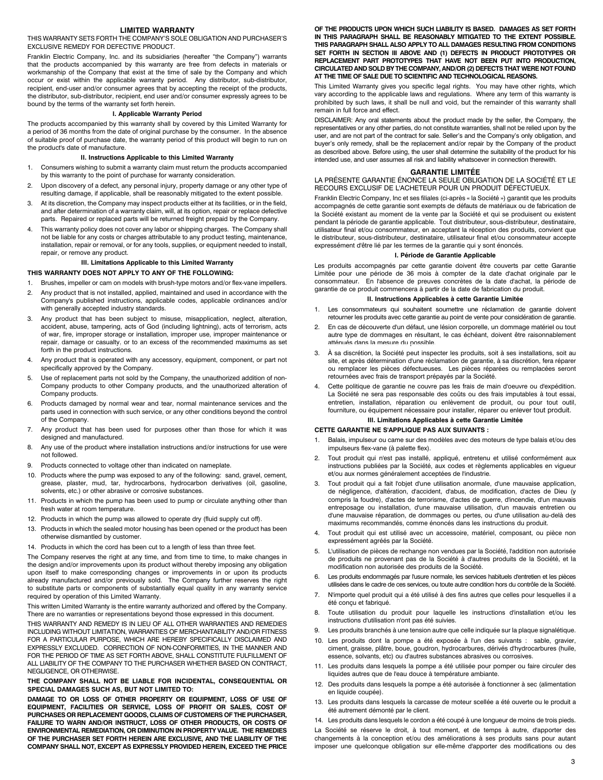#### **LIMITED WARRANTY**

THIS WARRANTY SETS FORTH THE COMPANY'S SOLE OBLIGATION AND PURCHASER'S EXCLUSIVE REMEDY FOR DEFECTIVE PRODUCT.

Franklin Electric Company, Inc. and its subsidiaries (hereafter "the Company") warrants that the products accompanied by this warranty are free from defects in materials or workmanship of the Company that exist at the time of sale by the Company and which occur or exist within the applicable warranty period. Any distributor, sub-distributor, recipient, end-user and/or consumer agrees that by accepting the receipt of the products, the distributor, sub-distributor, recipient, end user and/or consumer expressly agrees to be bound by the terms of the warranty set forth herein.

#### **I. Applicable Warranty Period**

The products accompanied by this warranty shall by covered by this Limited Warranty for a period of 36 months from the date of original purchase by the consumer. In the absence of suitable proof of purchase date, the warranty period of this product will begin to run on the product's date of manufacture.

#### **II. Instructions Applicable to this Limited Warranty**

- 1. Consumers wishing to submit a warranty claim must return the products accompanied by this warranty to the point of purchase for warranty consideration.
- 2. Upon discovery of a defect, any personal injury, property damage or any other type of resulting damage, if applicable, shall be reasonably mitigated to the extent possible.
- 3. At its discretion, the Company may inspect products either at its facilities, or in the field, and after determination of a warranty claim, will, at its option, repair or replace defective parts. Repaired or replaced parts will be returned freight prepaid by the Company.
- 4. This warranty policy does not cover any labor or shipping charges. The Company shall not be liable for any costs or charges attributable to any product testing, maintenance, installation, repair or removal, or for any tools, supplies, or equipment needed to install, repair, or remove any product.

# **III. Limitations Applicable to this Limited Warranty**

**THIS WARRANTY DOES NOT APPLY TO ANY OF THE FOLLOWING:**

- 1. Brushes, impeller or cam on models with brush-type motors and/or flex-vane impellers.
- 2. Any product that is not installed, applied, maintained and used in accordance with the Company's published instructions, applicable codes, applicable ordinances and/or with generally accepted industry standards.
- 3. Any product that has been subject to misuse, misapplication, neglect, alteration, accident, abuse, tampering, acts of God (including lightning), acts of terrorism, acts of war, fire, improper storage or installation, improper use, improper maintenance or repair, damage or casualty, or to an excess of the recommended maximums as set forth in the product instructions.
- 4. Any product that is operated with any accessory, equipment, component, or part not specifically approved by the Company.
- 5. Use of replacement parts not sold by the Company, the unauthorized addition of non-Company products to other Company products, and the unauthorized alteration of Company products.
- 6. Products damaged by normal wear and tear, normal maintenance services and the parts used in connection with such service, or any other conditions beyond the control of the Company.
- 7. Any product that has been used for purposes other than those for which it was designed and manufactured.
- 8. Any use of the product where installation instructions and/or instructions for use were not followed.
- 9. Products connected to voltage other than indicated on nameplate.
- 10. Products where the pump was exposed to any of the following: sand, gravel, cement, grease, plaster, mud, tar, hydrocarbons, hydrocarbon derivatives (oil, gasoline, solvents, etc.) or other abrasive or corrosive substances.
- 11. Products in which the pump has been used to pump or circulate anything other than fresh water at room temperature.
- 12. Products in which the pump was allowed to operate dry (fluid supply cut off).
- 13. Products in which the sealed motor housing has been opened or the product has been otherwise dismantled by customer.
- 14. Products in which the cord has been cut to a length of less than three feet.

The Company reserves the right at any time, and from time to time, to make changes in the design and/or improvements upon its product without thereby imposing any obligation upon itself to make corresponding changes or improvements in or upon its products already manufactured and/or previously sold. The Company further reserves the right to substitute parts or components of substantially equal quality in any warranty service required by operation of this Limited Warranty.

This written Limited Warranty is the entire warranty authorized and offered by the Company. There are no warranties or representations beyond those expressed in this document. THIS WARRANTY AND REMEDY IS IN LIEU OF ALL OTHER WARRANTIES AND REMEDIES INCLUDING WITHOUT LIMITATION, WARRANTIES OF MERCHANTABILITY AND/OR FITNESS FOR A PARTICULAR PURPOSE, WHICH ARE HEREBY SPECIFICALLY DISCLAIMED AND EXPRESSLY EXCLUDED. CORRECTION OF NON-CONFORMITIES, IN THE MANNER AND FOR THE PERIOD OF TIME AS SET FORTH ABOVE, SHALL CONSTITUTE FULFILLMENT OF ALL LIABILITY OF THE COMPANY TO THE PURCHASER WHETHER BASED ON CONTRACT, NEGLIGENCE, OR OTHERWISE.

#### **THE COMPANY SHALL NOT BE LIABLE FOR INCIDENTAL, CONSEQUENTIAL OR SPECIAL DAMAGES SUCH AS, BUT NOT LIMITED TO:**

**DAMAGE TO OR LOSS OF OTHER PROPERTY OR EQUIPMENT, LOSS OF USE OF EQUIPMENT, FACILITIES OR SERVICE, LOSS OF PROFIT OR SALES, COST OF PURCHASES OR REPLACEMENT GOODS, CLAIMS OF CUSTOMERS OF THE PURCHASER, FAILURE TO WARN AND/OR INSTRUCT, LOSS OF OTHER PRODUCTS, OR COSTS OF ENVIRONMENTAL REMEDIATION, OR DIMINUTION IN PROPERTY VALUE. THE REMEDIES OF THE PURCHASER SET FORTH HEREIN ARE EXCLUSIVE, AND THE LIABILITY OF THE COMPANY SHALL NOT, EXCEPT AS EXPRESSLY PROVIDED HEREIN, EXCEED THE PRICE** 

**OF THE PRODUCTS UPON WHICH SUCH LIABILITY IS BASED. DAMAGES AS SET FORTH IN THIS PARAGRAPH SHALL BE REASONABLY MITIGATED TO THE EXTENT POSSIBLE. THIS PARAGRAPH SHALL ALSO APPLY TO ALL DAMAGES RESULTING FROM CONDITIONS SET FORTH IN SECTION III ABOVE AND (1) DEFECTS IN PRODUCT PROTOTYPES OR REPLACEMENT PART PROTOTYPES THAT HAVE NOT BEEN PUT INTO PRODUCTION, CIRCULATED AND SOLD BY THE COMPANY, AND/OR (2) DEFECTS THAT WERE NOT FOUND AT THE TIME OF SALE DUE TO SCIENTIFIC AND TECHNOLOGICAL REASONS.**

This Limited Warranty gives you specific legal rights. You may have other rights, which vary according to the applicable laws and regulations. Where any term of this warranty is prohibited by such laws, it shall be null and void, but the remainder of this warranty shall remain in full force and effect.

DISCLAIMER: Any oral statements about the product made by the seller, the Company, the representatives or any other parties, do not constitute warranties, shall not be relied upon by the user, and are not part of the contract for sale. Seller's and the Company's only obligation, and buyer's only remedy, shall be the replacement and/or repair by the Company of the product as described above. Before using, the user shall determine the suitability of the product for his intended use, and user assumes all risk and liability whatsoever in connection therewith.

#### **GARANTIE LIMITÉE**

LA PRÉSENTE GARANTIE ÉNONCE LA SEULE OBLIGATION DE LA SOCIÉTÉ ET LE RECOURS EXCLUSIF DE L'ACHETEUR POUR UN PRODUIT DÉFECTUEUX.

Franklin Electric Company, Inc et ses filiales (ci-après « la Société ») garantit que les produits accompagnés de cette garantie sont exempts de défauts de matériaux ou de fabrication de la Société existant au moment de la vente par la Société et qui se produisent ou existent pendant la période de garantie applicable. Tout distributeur, sous-distributeur, destinataire, utilisateur final et/ou consommateur, en acceptant la réception des produits, convient que le distributeur, sous-distributeur, destinataire, utilisateur final et/ou consommateur accepte expressément d'être lié par les termes de la garantie qui y sont énoncés.

#### **I. Période de Garantie Applicable**

Les produits accompagnés par cette garantie doivent être couverts par cette Garantie Limitée pour une période de 36 mois à compter de la date d'achat originale par le consommateur. En l'absence de preuves concrètes de la date d'achat, la période de garantie de ce produit commencera à partir de la date de fabrication du produit.

#### **II. Instructions Applicables à cette Garantie Limitée**

- Les consommateurs qui souhaitent soumettre une réclamation de garantie doivent retourner les produits avec cette garantie au point de vente pour considération de garantie.
- 2. En cas de découverte d'un défaut, une lésion corporelle, un dommage matériel ou tout autre type de dommages en résultant, le cas échéant, doivent être raisonnablement atténués dans la mesure du possible.
- 3. À sa discrétion, la Société peut inspecter les produits, soit à ses installations, soit au site, et après détermination d'une réclamation de garantie, à sa discrétion, fera réparer ou remplacer les pièces défectueuses. Les pièces réparées ou remplacées seront retournées avec frais de transport prépayés par la Société.
- 4. Cette politique de garantie ne couvre pas les frais de main d'oeuvre ou d'expédition. La Société ne sera pas responsable des coûts ou des frais imputables à tout essai, entretien, installation, réparation ou enlèvement de produit, ou pour tout outil, fourniture, ou équipement nécessaire pour installer, réparer ou enlever tout produit.

#### **III. Limitations Applicables à cette Garantie Limitée**

#### **CETTE GARANTIE NE S'APPLIQUE PAS AUX SUIVANTS :**

- 1. Balais, impulseur ou came sur des modèles avec des moteurs de type balais et/ou des impulseurs flex-vane (à palette flex).
- 2. Tout produit qui n'est pas installé, appliqué, entretenu et utilisé conformément aux instructions publiées par la Société, aux codes et règlements applicables en vigueur et/ou aux normes généralement acceptées de l'industrie.
- Tout produit qui a fait l'objet d'une utilisation anormale, d'une mauvaise application, de négligence, d'altération, d'accident, d'abus, de modification, d'actes de Dieu (y compris la foudre), d'actes de terrorisme, d'actes de guerre, d'incendie, d'un mauvais entreposage ou installation, d'une mauvaise utilisation, d'un mauvais entretien ou d'une mauvaise réparation, de dommages ou pertes, ou d'une utilisation au-delà des maximums recommandés, comme énoncés dans les instructions du produit.
- 4. Tout produit qui est utilisé avec un accessoire, matériel, composant, ou pièce non expressément agréés par la Société.
- L'utilisation de pièces de rechange non vendues par la Société, l'addition non autorisée de produits ne provenant pas de la Société à d'autres produits de la Société, et la modification non autorisée des produits de la Société.
- 6. Les produits endommagés par l'usure normale, les services habituels d'entretien et les pièces utilisées dans le cadre de ces services, ou toute autre condition hors du contrôle de la Société.
- 7. N'importe quel produit qui a été utilisé à des fins autres que celles pour lesquelles il a été conçu et fabriqué.
- 8. Toute utilisation du produit pour laquelle les instructions d'installation et/ou les instructions d'utilisation n'ont pas été suivies.
- 9. Les produits branchés à une tension autre que celle indiquée sur la plaque signalétique.
- 10. Les produits dont la pompe a été exposée à l'un des suivants : sable, gravier, ciment, graisse, plâtre, boue, goudron, hydrocarbures, dérivés d'hydrocarbures (huile, essence, solvants, etc) ou d'autres substances abrasives ou corrosives.
- 11. Les produits dans lesquels la pompe a été utilisée pour pomper ou faire circuler des liquides autres que de l'eau douce à température ambiante.
- 12. Des produits dans lesquels la pompe a été autorisée à fonctionner à sec (alimentation en liquide coupée).
- 13. Les produits dans lesquels la carcasse de moteur scellée a été ouverte ou le produit a été autrement démonté par le client.
- 14. Les produits dans lesquels le cordon a été coupé à une longueur de moins de trois pieds.

La Société se réserve le droit, à tout moment, et de temps à autre, d'apporter des changements à la conception et/ou des améliorations à ses produits sans pour autant imposer une quelconque obligation sur elle-même d'apporter des modifications ou des